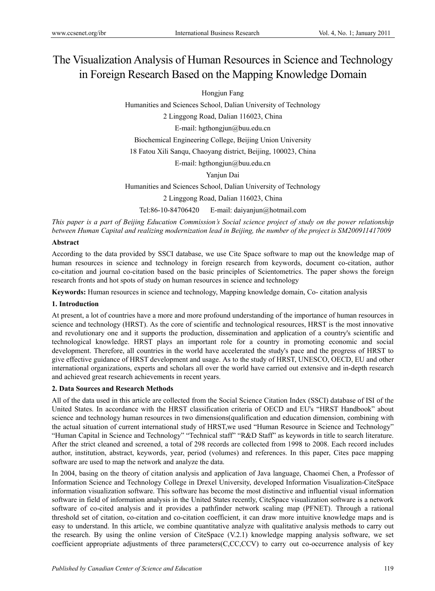# The Visualization Analysis of Human Resources in Science and Technology in Foreign Research Based on the Mapping Knowledge Domain

Hongjun Fang

Humanities and Sciences School, Dalian University of Technology

2 Linggong Road, Dalian 116023, China

E-mail: hgthongjun@buu.edu.cn

Biochemical Engineering College, Beijing Union University

18 Fatou Xili Sanqu, Chaoyang district, Beijing, 100023, China

E-mail: hgthongjun@buu.edu.cn

Yanjun Dai

Humanities and Sciences School, Dalian University of Technology 2 Linggong Road, Dalian 116023, China

Tel:86-10-84706420 E-mail: daiyanjun@hotmail.com

*This paper is a part of Beijing Education Commission's Social science project of study on the power relationship between Human Capital and realizing modernization lead in Beijing, the number of the project is SM200911417009* 

## **Abstract**

According to the data provided by SSCI database, we use Cite Space software to map out the knowledge map of human resources in science and technology in foreign research from keywords, document co-citation, author co-citation and journal co-citation based on the basic principles of Scientometrics. The paper shows the foreign research fronts and hot spots of study on human resources in science and technology

**Keywords:** Human resources in science and technology, Mapping knowledge domain, Co- citation analysis

# **1. Introduction**

At present, a lot of countries have a more and more profound understanding of the importance of human resources in science and technology (HRST). As the core of scientific and technological resources, HRST is the most innovative and revolutionary one and it supports the production, dissemination and application of a country's scientific and technological knowledge. HRST plays an important role for a country in promoting economic and social development. Therefore, all countries in the world have accelerated the study's pace and the progress of HRST to give effective guidance of HRST development and usage. As to the study of HRST, UNESCO, OECD, EU and other international organizations, experts and scholars all over the world have carried out extensive and in-depth research and achieved great research achievements in recent years.

# **2. Data Sources and Research Methods**

All of the data used in this article are collected from the Social Science Citation Index (SSCI) database of ISI of the United States. In accordance with the HRST classification criteria of OECD and EU's "HRST Handbook" about science and technology human resources in two dimensions(qualification and education dimension, combining with the actual situation of current international study of HRST,we used "Human Resource in Science and Technology" "Human Capital in Science and Technology" "Technical staff" "R&D Staff" as keywords in title to search literature. After the strict cleaned and screened, a total of 298 records are collected from 1998 to 2008. Each record includes author, institution, abstract, keywords, year, period (volumes) and references. In this paper, Cites pace mapping software are used to map the network and analyze the data.

In 2004, basing on the theory of citation analysis and application of Java language, Chaomei Chen, a Professor of Information Science and Technology College in Drexel University, developed Information Visualization-CiteSpace information visualization software. This software has become the most distinctive and influential visual information software in field of information analysis in the United States recently, CiteSpace visualization software is a network software of co-cited analysis and it provides a pathfinder network scaling map (PFNET). Through a rational threshold set of citation, co-citation and co-citation coefficient, it can draw more intuitive knowledge maps and is easy to understand. In this article, we combine quantitative analyze with qualitative analysis methods to carry out the research. By using the online version of CiteSpace (V.2.1) knowledge mapping analysis software, we set coefficient appropriate adjustments of three parameters(C,CC,CCV) to carry out co-occurrence analysis of key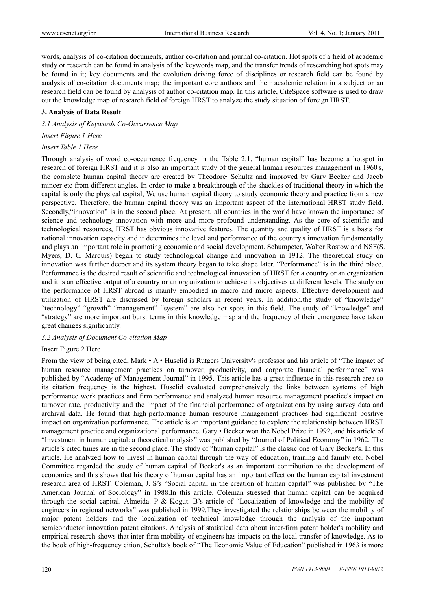words, analysis of co-citation documents, author co-citation and journal co-citation. Hot spots of a field of academic study or research can be found in analysis of the keywords map, and the transfer trends of researching hot spots may be found in it; key documents and the evolution driving force of disciplines or research field can be found by analysis of co-citation documents map; the important core authors and their academic relation in a subject or an research field can be found by analysis of author co-citation map. In this article, CiteSpace software is used to draw out the knowledge map of research field of foreign HRST to analyze the study situation of foreign HRST.

## **3. Analysis of Data Result**

*3.1 Analysis of Keywords Co-Occurrence Map* 

*Insert Figure 1 Here* 

#### *Insert Table 1 Here*

Through analysis of word co-occurrence frequency in the Table 2.1, "human capital" has become a hotspot in research of foreign HRST and it is also an important study of the general human resources management in 1960's, the complete human capital theory are created by Theodore· Schultz and improved by Gary Becker and Jacob mincer etc from different angles. In order to make a breakthrough of the shackles of traditional theory in which the capital is only the physical capital, We use human capital theory to study economic theory and practice from a new perspective. Therefore, the human capital theory was an important aspect of the international HRST study field. Secondly,"innovation" is in the second place. At present, all countries in the world have known the importance of science and technology innovation with more and more profound understanding. As the core of scientific and technological resources, HRST has obvious innovative features. The quantity and quality of HRST is a basis for national innovation capacity and it determines the level and performance of the country's innovation fundamentally and plays an important role in promoting economic and social development. Schumpeter, Walter Rostow and NSF(S. Myers, D. G. Marquis) began to study technological change and innovation in 1912. The theoretical study on innovation was further deeper and its system theory began to take shape later. "Performance" is in the third place. Performance is the desired result of scientific and technological innovation of HRST for a country or an organization and it is an effective output of a country or an organization to achieve its objectives at different levels. The study on the performance of HRST abroad is mainly embodied in macro and micro aspects. Effective development and utilization of HRST are discussed by foreign scholars in recent years. In addition,the study of "knowledge" "technology" "growth" "management" "system" are also hot spots in this field. The study of "knowledge" and "strategy" are more important burst terms in this knowledge map and the frequency of their emergence have taken great changes significantly.

#### *3.2 Analysis of Document Co-citation Map*

#### Insert Figure 2 Here

From the view of being cited, Mark • A • Huselid is Rutgers University's professor and his article of "The impact of human resource management practices on turnover, productivity, and corporate financial performance" was published by "Academy of Management Journal" in 1995. This article has a great influence in this research area so its citation frequency is the highest. Huselid evaluated comprehensively the links between systems of high performance work practices and firm performance and analyzed human resource management practice's impact on turnover rate, productivity and the impact of the financial performance of organizations by using survey data and archival data. He found that high-performance human resource management practices had significant positive impact on organization performance. The article is an important guidance to explore the relationship between HRST management practice and organizational performance. Gary • Becker won the Nobel Prize in 1992, and his article of "Investment in human capital: a theoretical analysis" was published by "Journal of Political Economy" in 1962. The article's cited times are in the second place. The study of "human capital" is the classic one of Gary Becker's. In this article, He analyzed how to invest in human capital through the way of education, training and family etc. Nobel Committee regarded the study of human capital of Becker's as an important contribution to the development of economics and this shows that his theory of human capital has an important effect on the human capital investment research area of HRST. Coleman, J. S's "Social capital in the creation of human capital" was published by "The American Journal of Sociology" in 1988.In this article, Coleman stressed that human capital can be acquired through the social capital. Almeida. P & Kogut. B's article of "Localization of knowledge and the mobility of engineers in regional networks" was published in 1999.They investigated the relationships between the mobility of major patent holders and the localization of technical knowledge through the analysis of the important semiconductor innovation patent citations. Analysis of statistical data about inter-firm patent holder's mobility and empirical research shows that inter-firm mobility of engineers has impacts on the local transfer of knowledge. As to the book of high-frequency cition, Schultz's book of "The Economic Value of Education" published in 1963 is more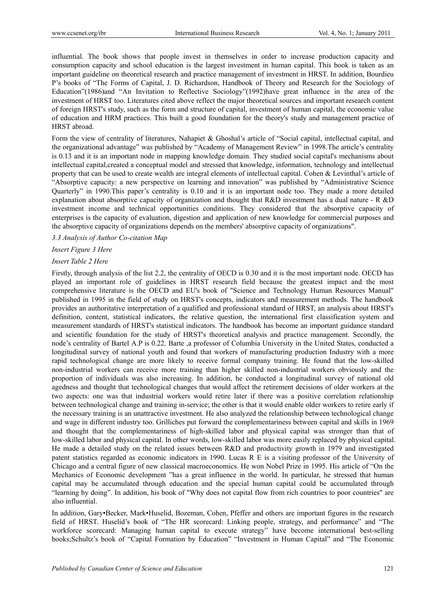influential. The book shows that people invest in themselves in order to increase production capacity and consumption capacity and school education is the largest investment in human capital. This book is taken as an important guideline on theoretical research and practice management of investment in HRST. In addition, Bourdieu P's books of "The Forms of Capital, J. D. Richardson, Handbook of Theory and Research for the Sociology of Education"(1986)and "An Invitation to Reflective Sociology"(1992)have great influence in the area of the investment of HRST too. Literatures cited above reflect the major theoretical sources and important research content of foreign HRST's study, such as the form and structure of capital, investment of human capital, the economic value of education and HRM practices. This built a good foundation for the theory's study and management practice of HRST abroad.

Form the view of centrality of literatures, Nahapiet & Ghoshal's article of "Social capital, intellectual capital, and the organizational advantage" was published by "Academy of Management Review" in 1998.The article's centrality is 0.13 and it is an important node in mapping knowledge domain. They studied social capital's mechanisms about intellectual capital,created a conceptual model and stressed that knowledge, information, technology and intellectual property that can be used to create wealth are integral elements of intellectual capital. Cohen & Levinthal's article of "Absorptive capacity: a new perspective on learning and innovation" was published by "Administrative Science Quarterly" in 1990.This paper's centrality is 0.10 and it is an important node too. They made a more detailed explanation about absorptive capacity of organization and thought that R&D investment has a dual nature - R &D investment income and technical opportunities conditions. They considered that the absorptive capacity of enterprises is the capacity of evaluation, digestion and application of new knowledge for commercial purposes and the absorptive capacity of organizations depends on the members' absorptive capacity of organizations".

#### *3.3 Analysis of Author Co-citation Map*

#### *Insert Figure 3 Here*

#### *Insert Table 2 Here*

Firstly, through analysis of the list 2.2, the centrality of OECD is 0.30 and it is the most important node. OECD has played an important role of guidelines in HRST research field because the greatest impact and the most comprehensive literature is the OECD and EU's book of "Science and Technology Human Resources Manual" published in 1995 in the field of study on HRST's concepts, indicators and measurement methods. The handbook provides an authoritative interpretation of a qualified and professional standard of HRST, an analysis about HRST's definition, content, statistical indicators, the relative question, the international first classification system and measurement standards of HRST's statistical indicators. The handbook has become an important guidance standard and scientific foundation for the study of HRST's theoretical analysis and practice management. Secondly, the node's centrality of Bartel A.P is 0.22. Barte ,a professor of Columbia University in the United States, conducted a longitudinal survey of national youth and found that workers of manufacturing production Industry with a more rapid technological change are more likely to receive formal company training. He found that the low-skilled non-industrial workers can receive more training than higher skilled non-industrial workers obviously and the proportion of individuals was also increasing. In addition, he conducted a longitudinal survey of national old agedness and thought that technological changes that would affect the retirement decisions of older workers at the two aspects: one was that industrial workers would retire later if there was a positive correlation relationship between technological change and training in-service; the other is that it would enable older workers to retire early if the necessary training is an unattractive investment. He also analyzed the relationship between technological change and wage in different industry too. Grilliches put forward the complementariness between capital and skills in 1969 and thought that the complementariness of high-skilled labor and physical capital was stronger than that of low-skilled labor and physical capital. In other words, low-skilled labor was more easily replaced by physical capital. He made a detailed study on the related issues between R&D and productivity growth in 1979 and investigated patent statistics regarded as economic indicators in 1990. Lucas R E is a visiting professor of the University of Chicago and a central figure of new classical macroeconomics. He won Nobel Prize in 1995. His article of "On the Mechanics of Economic development "has a great influence in the world. In particular, he stressed that human capital may be accumulated through education and the special human capital could be accumulated through "learning by doing". In addition, his book of "Why does not capital flow from rich countries to poor countries" are also influential.

In addition, Gary•Becker, Mark•Huselid, Bozeman, Cohen, Pfeffer and others are important figures in the research field of HRST. Huselid's book of "The HR scorecard: Linking people, strategy, and performance" and "The workforce scorecard: Managing human capital to execute strategy" have become international best-selling books;Schultz's book of "Capital Formation by Education" "Investment in Human Capital" and "The Economic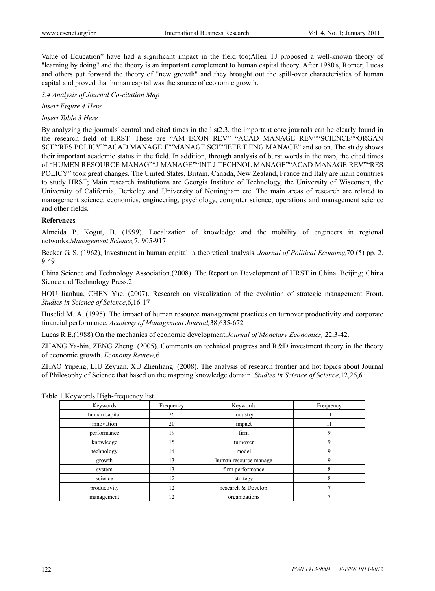Value of Education" have had a significant impact in the field too;Allen TJ proposed a well-known theory of "learning by doing" and the theory is an important complement to human capital theory. After 1980's, Romer, Lucas and others put forward the theory of "new growth" and they brought out the spill-over characteristics of human capital and proved that human capital was the source of economic growth.

*3.4 Analysis of Journal Co-citation Map* 

*Insert Figure 4 Here* 

## *Insert Table 3 Here*

By analyzing the journals' central and cited times in the list2.3, the important core journals can be clearly found in the research field of HRST. These are "AM ECON REV" "ACAD MANAGE REV""SCIENCE""ORGAN SCI""RES POLICY""ACAD MANAGE J""MANAGE SCI""IEEE T ENG MANAGE" and so on. The study shows their important academic status in the field. In addition, through analysis of burst words in the map, the cited times of "HUMEN RESOURCE MANAG""J MANAGE""INT J TECHNOL MANAGE""ACAD MANAGE REV""RES POLICY" took great changes. The United States, Britain, Canada, New Zealand, France and Italy are main countries to study HRST; Main research institutions are Georgia Institute of Technology, the University of Wisconsin, the University of California, Berkeley and University of Nottingham etc. The main areas of research are related to management science, economics, engineering, psychology, computer science, operations and management science and other fields.

#### **References**

Almeida P. Kogut, B. (1999). Localization of knowledge and the mobility of engineers in regional networks.*Management Science,*7, 905-917

Becker G. S. (1962), Investment in human capital: a theoretical analysis. *Journal of Political Economy,*70 (5) pp. 2. 9-49

China Science and Technology Association.(2008). The Report on Development of HRST in China .Beijing; China Sience and Technology Press.2

HOU Jianhua, CHEN Yue. (2007). Research on visualization of the evolution of strategic management Front. *Studies in Science of Science*,6,16-17

Huselid M. A. (1995). The impact of human resource management practices on turnover productivity and corporate financial performance. *Academy of Management Journal,*38,635-672

Lucas R E,(1988).On the mechanics of economic development,*Journal of Monetary Economics,*.22,3-42.

ZHANG Ya-bin, ZENG Zheng. (2005). Comments on technical progress and R&D investment theory in the theory of economic growth. *Economy Review,*6

ZHAO Yupeng, LIU Zeyuan, XU Zhenliang. (2008)**.** The analysis of research frontier and hot topics about Journal of Philosophy of Science that based on the mapping knowledge domain. *Studies in Science of Science,*12,26,6

| Table 1. Keywords High-frequency list |  |
|---------------------------------------|--|
|                                       |  |

| Keywords      | Frequency | Keywords              | Frequency |
|---------------|-----------|-----------------------|-----------|
| human capital | 26        | industry              | 11        |
| innovation    | 20        | impact                | 11        |
| performance   | 19        | firm                  | 9         |
| knowledge     | 15        | turnover              | 9         |
| technology    | 14        | model                 | 9         |
| growth        | 13        | human resource manage | 9         |
| system        | 13        | firm performance      | 8         |
| science       | 12        | strategy              | 8         |
| productivity  | 12        | research & Develop    |           |
| management    | 12        | organizations         |           |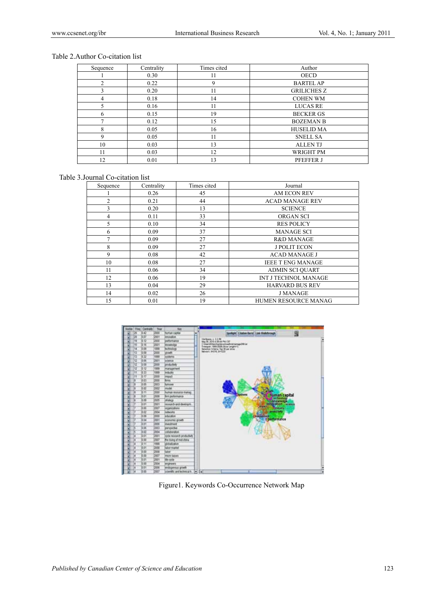# Table 2.Author Co-citation list

| Sequence | Centrality | Times cited | Author             |
|----------|------------|-------------|--------------------|
|          | 0.30       |             | <b>OECD</b>        |
| 2        | 0.22       | 9           | <b>BARTEL AP</b>   |
| 3        | 0.20       | 11          | <b>GRILICHES Z</b> |
| 4        | 0.18       | 14          | <b>COHEN WM</b>    |
| 5        | 0.16       | 11          | <b>LUCAS RE</b>    |
| 6        | 0.15       | 19          | <b>BECKER GS</b>   |
| e        | 0.12       | 15          | <b>BOZEMAN B</b>   |
| 8        | 0.05       | 16          | <b>HUSELID MA</b>  |
| Q        | 0.05       | 11          | <b>SNELL SA</b>    |
| 10       | 0.03       | 13          | <b>ALLENTJ</b>     |
| 11       | 0.03       | 12          | WRIGHT PM          |
| 12       | 0.01       | 13          | <b>PFEFFER J</b>   |

#### Table 3.Journal Co-citation list

| Sequence       | Centrality | Times cited | Journal                     |
|----------------|------------|-------------|-----------------------------|
|                | 0.26       | 45          | <b>AM ECON REV</b>          |
| 2              | 0.21       | 44          | <b>ACAD MANAGE REV</b>      |
| 3              | 0.20       | 13          | <b>SCIENCE</b>              |
| $\overline{4}$ | 0.11       | 33          | <b>ORGAN SCI</b>            |
| 5              | 0.10       | 34          | <b>RES POLICY</b>           |
| 6              | 0.09       | 37          | <b>MANAGE SCI</b>           |
|                | 0.09       | 27          | <b>R&amp;D MANAGE</b>       |
| 8              | 0.09       | 27          | <b>J POLIT ECON</b>         |
| 9              | 0.08       | 42          | <b>ACAD MANAGE J</b>        |
| 10             | 0.08       | 27          | <b>IEEE T ENG MANAGE</b>    |
| 11             | 0.06       | 34          | <b>ADMIN SCI OUART</b>      |
| 12             | 0.06       | 19          | INT J TECHNOL MANAGE        |
| 13             | 0.04       | 29          | <b>HARVARD BUS REV</b>      |
| 14             | 0.02       | 26          | <b>J MANAGE</b>             |
| 15             | 0.01       | 19          | <b>HUMEN RESOURCE MANAG</b> |



Figure1. Keywords Co-Occurrence Network Map